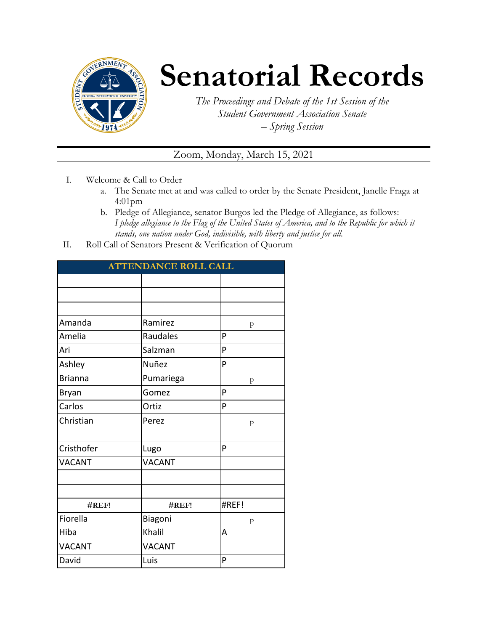

## **Senatorial Records**

*The Proceedings and Debate of the 1st Session of the Student Government Association Senate – Spring Session*

## Zoom, Monday, March 15, 2021

- I. Welcome & Call to Order
	- a. The Senate met at and was called to order by the Senate President, Janelle Fraga at 4:01pm
	- b. Pledge of Allegiance, senator Burgos led the Pledge of Allegiance, as follows: *I pledge allegiance to the Flag of the United States of America, and to the Republic for which it stands, one nation under God, indivisible, with liberty and justice for all.*
- II. Roll Call of Senators Present & Verification of Quorum

| <b>ATTENDANCE ROLL CALL</b> |               |       |  |  |  |
|-----------------------------|---------------|-------|--|--|--|
|                             |               |       |  |  |  |
|                             |               |       |  |  |  |
|                             |               |       |  |  |  |
| Amanda                      | Ramirez       | p     |  |  |  |
| Amelia                      | Raudales      | P     |  |  |  |
| Ari                         | Salzman       | P     |  |  |  |
| Ashley                      | Nuñez         | P     |  |  |  |
| <b>Brianna</b>              | Pumariega     | p     |  |  |  |
| Bryan                       | Gomez         | P     |  |  |  |
| Carlos                      | Ortiz         | P     |  |  |  |
| Christian                   | Perez         | p     |  |  |  |
|                             |               |       |  |  |  |
| Cristhofer                  | Lugo          | P     |  |  |  |
| <b>VACANT</b>               | <b>VACANT</b> |       |  |  |  |
|                             |               |       |  |  |  |
|                             |               |       |  |  |  |
| #REF!                       | #REF!         | #REF! |  |  |  |
| Fiorella                    | Biagoni       | p     |  |  |  |
| Hiba                        | Khalil        | A     |  |  |  |
| <b>VACANT</b>               | <b>VACANT</b> |       |  |  |  |
| David                       | Luis          | P     |  |  |  |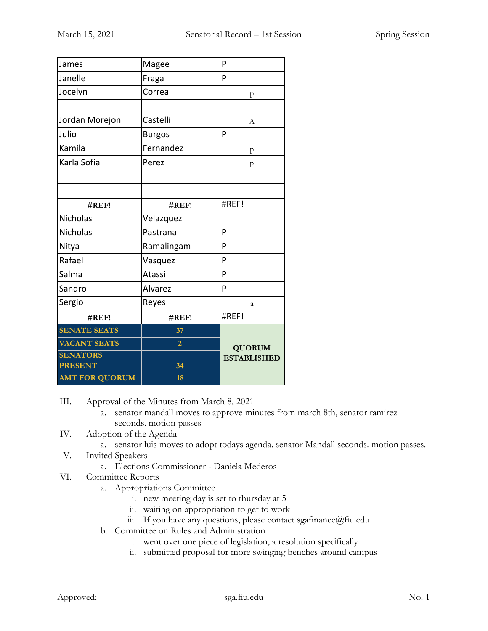| James                 | Magee          | P                  |
|-----------------------|----------------|--------------------|
| Janelle               | Fraga          | P                  |
| Jocelyn               | Correa         | p                  |
|                       |                |                    |
| Jordan Morejon        | Castelli       | А                  |
| Julio                 | <b>Burgos</b>  | P                  |
| Kamila                | Fernandez      | p                  |
| Karla Sofia           | Perez          | p                  |
|                       |                |                    |
|                       |                |                    |
| #REF!                 | #REF!          | #REF!              |
| Nicholas              | Velazquez      |                    |
| <b>Nicholas</b>       | Pastrana       | P                  |
| Nitya                 | Ramalingam     | P                  |
| Rafael                | Vasquez        | P                  |
| Salma                 | Atassi         | P                  |
| Sandro                | Alvarez        | P                  |
| Sergio                | Reyes          | a                  |
| #REF!                 | #REF!          | #REF!              |
| <b>SENATE SEATS</b>   | 37             |                    |
| <b>VACANT SEATS</b>   | $\overline{2}$ | <b>QUORUM</b>      |
| <b>SENATORS</b>       |                | <b>ESTABLISHED</b> |
| <b>PRESENT</b>        | 34             |                    |
| <b>AMT FOR QUORUM</b> | 18             |                    |

III. Approval of the Minutes from March 8, 2021

- a. senator mandall moves to approve minutes from march 8th, senator ramirez seconds. motion passes
- IV. Adoption of the Agenda
	- a. senator luis moves to adopt todays agenda. senator Mandall seconds. motion passes.
- V. Invited Speakers
	- a. Elections Commissioner Daniela Mederos
- VI. Committee Reports
	- a. Appropriations Committee
		- i. new meeting day is set to thursday at 5
		- ii. waiting on appropriation to get to work
		- iii. If you have any questions, please contact sgafinance@fiu.edu
	- b. Committee on Rules and Administration
		- i. went over one piece of legislation, a resolution specifically
		- ii. submitted proposal for more swinging benches around campus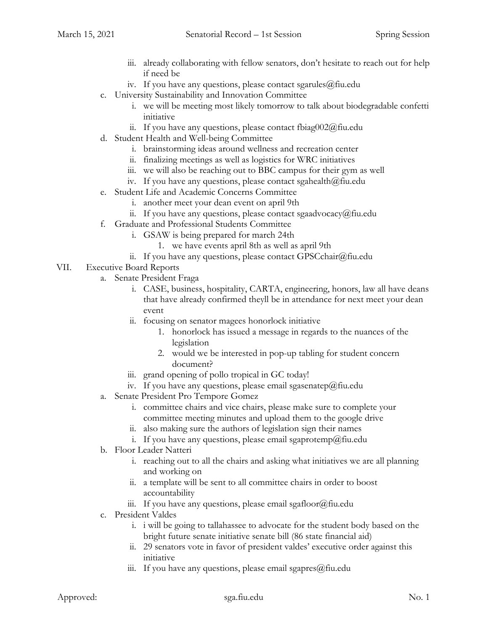- iii. already collaborating with fellow senators, don't hesitate to reach out for help if need be
- iv. If you have any questions, please contact sgarules $@$ fiu.edu
- c. University Sustainability and Innovation Committee
	- i. we will be meeting most likely tomorrow to talk about biodegradable confetti initiative
	- ii. If you have any questions, please contact fbiag002@fiu.edu
- d. Student Health and Well-being Committee
	- i. brainstorming ideas around wellness and recreation center
	- ii. finalizing meetings as well as logistics for WRC initiatives
	- iii. we will also be reaching out to BBC campus for their gym as well
	- iv. If you have any questions, please contact sgahealth $@$ fiu.edu
- e. Student Life and Academic Concerns Committee
	- i. another meet your dean event on april 9th
	- ii. If you have any questions, please contact sgaadvocacy@fiu.edu
- f. Graduate and Professional Students Committee
	- i. GSAW is being prepared for march 24th
		- 1. we have events april 8th as well as april 9th
	- ii. If you have any questions, please contact GPSCchair@fiu.edu
- VII. Executive Board Reports
	- a. Senate President Fraga
		- i. CASE, business, hospitality, CARTA, engineering, honors, law all have deans that have already confirmed theyll be in attendance for next meet your dean event
		- ii. focusing on senator magees honorlock initiative
			- 1. honorlock has issued a message in regards to the nuances of the legislation
			- 2. would we be interested in pop-up tabling for student concern document?
		- iii. grand opening of pollo tropical in GC today!
		- iv. If you have any questions, please email sgasenatep@fiu.edu
	- a. Senate President Pro Tempore Gomez
		- i. committee chairs and vice chairs, please make sure to complete your committee meeting minutes and upload them to the google drive
		- ii. also making sure the authors of legislation sign their names
		- i. If you have any questions, please email sgaprotemp@fiu.edu
	- b. Floor Leader Natteri
		- i. reaching out to all the chairs and asking what initiatives we are all planning and working on
		- ii. a template will be sent to all committee chairs in order to boost accountability
		- iii. If you have any questions, please email sgafloor@fiu.edu
	- c. President Valdes
		- i. i will be going to tallahassee to advocate for the student body based on the bright future senate initiative senate bill (86 state financial aid)
		- ii. 29 senators vote in favor of president valdes' executive order against this initiative
		- iii. If you have any questions, please email sgapres@fiu.edu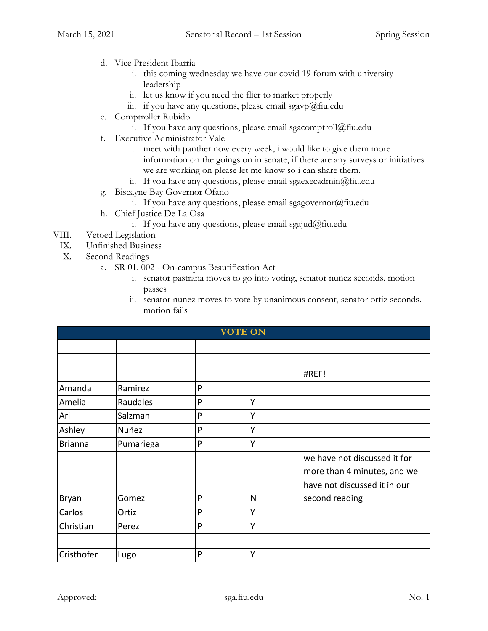- d. Vice President Ibarria
	- i. this coming wednesday we have our covid 19 forum with university leadership
	- ii. let us know if you need the flier to market properly
	- iii. if you have any questions, please email sgavp $@$ fiu.edu
- e. Comptroller Rubido
	- i. If you have any questions, please email sgacomptroll@fiu.edu
- f. Executive Administrator Vale
	- i. meet with panther now every week, i would like to give them more information on the goings on in senate, if there are any surveys or initiatives we are working on please let me know so i can share them.
	- ii. If you have any questions, please email sgaexecadmin $@$ fiu.edu
- g. Biscayne Bay Governor Ofano
	- i. If you have any questions, please email sgagovernor $(\partial)$ fiu.edu
- h. Chief Justice De La Osa
	- i. If you have any questions, please email sgajud@fiu.edu
- VIII. Vetoed Legislation
- IX. Unfinished Business
- X. Second Readings
	- a. SR 01. 002 On-campus Beautification Act
		- i. senator pastrana moves to go into voting, senator nunez seconds. motion passes
		- ii. senator nunez moves to vote by unanimous consent, senator ortiz seconds. motion fails

| <b>VOTE ON</b> |           |   |   |                                                                                             |  |
|----------------|-----------|---|---|---------------------------------------------------------------------------------------------|--|
|                |           |   |   |                                                                                             |  |
|                |           |   |   |                                                                                             |  |
|                |           |   |   | #REF!                                                                                       |  |
| Amanda         | Ramirez   | P |   |                                                                                             |  |
| Amelia         | Raudales  | P | Y |                                                                                             |  |
| Ari            | Salzman   | P | Ý |                                                                                             |  |
| Ashley         | Nuñez     | P | Y |                                                                                             |  |
| <b>Brianna</b> | Pumariega | P | Ý |                                                                                             |  |
|                |           |   |   | we have not discussed it for<br>more than 4 minutes, and we<br>have not discussed it in our |  |
| Bryan          | Gomez     | P | N | second reading                                                                              |  |
| Carlos         | Ortiz     | P | Y |                                                                                             |  |
| Christian      | Perez     | P | Ý |                                                                                             |  |
|                |           |   |   |                                                                                             |  |
| Cristhofer     | Lugo      | P | Y |                                                                                             |  |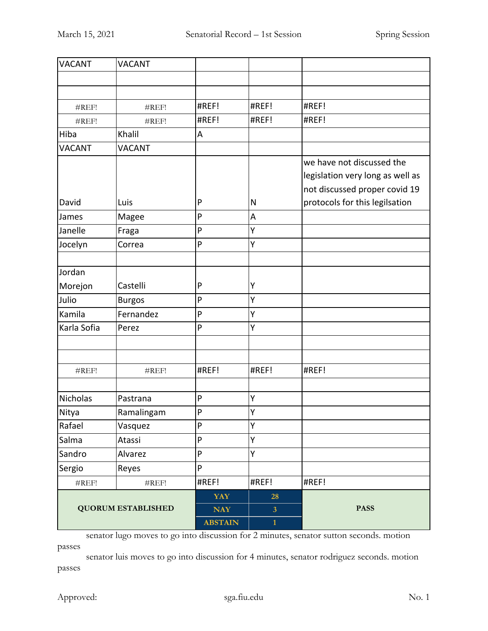| <b>VACANT</b>    | <b>VACANT</b>             |                |                         |                                  |
|------------------|---------------------------|----------------|-------------------------|----------------------------------|
|                  |                           |                |                         |                                  |
|                  |                           |                |                         |                                  |
| #REF!            | #REF!                     | #REF!          | #REF!                   | #REF!                            |
| #REF!            | #REF!                     | #REF!          | #REF!                   | #REF!                            |
| Hiba             | Khalil                    | A              |                         |                                  |
| <b>VACANT</b>    | <b>VACANT</b>             |                |                         |                                  |
|                  |                           |                |                         | we have not discussed the        |
|                  |                           |                |                         | legislation very long as well as |
|                  |                           |                |                         | not discussed proper covid 19    |
| David            | Luis                      | P              | N                       | protocols for this legilsation   |
| James            | Magee                     | P              | A                       |                                  |
| Janelle          | Fraga                     | P              | Υ                       |                                  |
| Jocelyn          | Correa                    | P              | Υ                       |                                  |
| Jordan           |                           |                |                         |                                  |
|                  | Castelli                  | P              | Υ                       |                                  |
| Morejon<br>Julio |                           | P              | Ÿ                       |                                  |
|                  | <b>Burgos</b>             |                | Υ                       |                                  |
| Kamila           | Fernandez                 | P              |                         |                                  |
| Karla Sofia      | Perez                     | P              | Ÿ                       |                                  |
|                  |                           |                |                         |                                  |
| #REF!            | #REF!                     | #REF!          | #REF!                   | #REF!                            |
|                  |                           |                |                         |                                  |
| <b>Nicholas</b>  | Pastrana                  | P              | Υ                       |                                  |
| Nitya            | Ramalingam                | $\mathsf{P}$   | Υ                       |                                  |
| Rafael           | Vasquez                   | ${\sf P}$      | Υ                       |                                  |
| Salma            | Atassi                    | P              | Υ                       |                                  |
| Sandro           | Alvarez                   | ${\sf P}$      | Υ                       |                                  |
| Sergio           | Reyes                     | P              |                         |                                  |
| #REF!            | #REF!                     | #REF!          | #REF!                   | #REF!                            |
|                  |                           | <b>YAY</b>     | 28                      |                                  |
|                  | <b>QUORUM ESTABLISHED</b> | <b>NAY</b>     | $\overline{\mathbf{3}}$ | <b>PASS</b>                      |
|                  |                           | <b>ABSTAIN</b> | $\mathbf{1}$            |                                  |

senator lugo moves to go into discussion for 2 minutes, senator sutton seconds. motion passes

senator luis moves to go into discussion for 4 minutes, senator rodriguez seconds. motion passes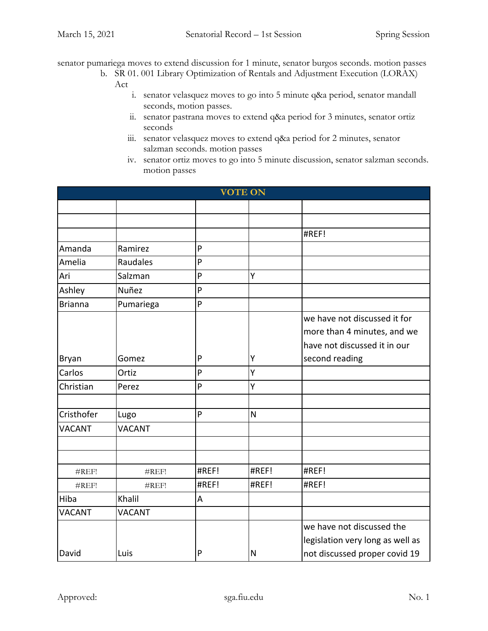senator pumariega moves to extend discussion for 1 minute, senator burgos seconds. motion passes

- b. SR 01. 001 Library Optimization of Rentals and Adjustment Execution (LORAX) Act
	- i. senator velasquez moves to go into 5 minute q&a period, senator mandall seconds, motion passes.
	- ii. senator pastrana moves to extend q&a period for 3 minutes, senator ortiz seconds
	- iii. senator velasquez moves to extend q&a period for 2 minutes, senator salzman seconds. motion passes
	- iv. senator ortiz moves to go into 5 minute discussion, senator salzman seconds. motion passes

|                |               |       | <b>VOTE ON</b> |                                  |
|----------------|---------------|-------|----------------|----------------------------------|
|                |               |       |                |                                  |
|                |               |       |                |                                  |
|                |               |       |                | #REF!                            |
| Amanda         | Ramirez       | P     |                |                                  |
| Amelia         | Raudales      | P     |                |                                  |
| Ari            | Salzman       | P     | Υ              |                                  |
| Ashley         | Nuñez         | P     |                |                                  |
| <b>Brianna</b> | Pumariega     | P     |                |                                  |
|                |               |       |                | we have not discussed it for     |
|                |               |       |                | more than 4 minutes, and we      |
|                |               |       |                | have not discussed it in our     |
| Bryan          | Gomez         | P     | Υ              | second reading                   |
| Carlos         | Ortiz         | P     | Ý              |                                  |
| Christian      | Perez         | P     | Y              |                                  |
|                |               |       |                |                                  |
| Cristhofer     | Lugo          | P     | N              |                                  |
| <b>VACANT</b>  | <b>VACANT</b> |       |                |                                  |
|                |               |       |                |                                  |
|                |               |       |                |                                  |
| #REF!          | #REF!         | #REF! | #REF!          | #REF!                            |
| #REF!          | #REF!         | #REF! | #REF!          | #REF!                            |
| Hiba           | Khalil        | A     |                |                                  |
| <b>VACANT</b>  | <b>VACANT</b> |       |                |                                  |
|                |               |       |                | we have not discussed the        |
|                |               |       |                | legislation very long as well as |
| David          | Luis          | P     | N              | not discussed proper covid 19    |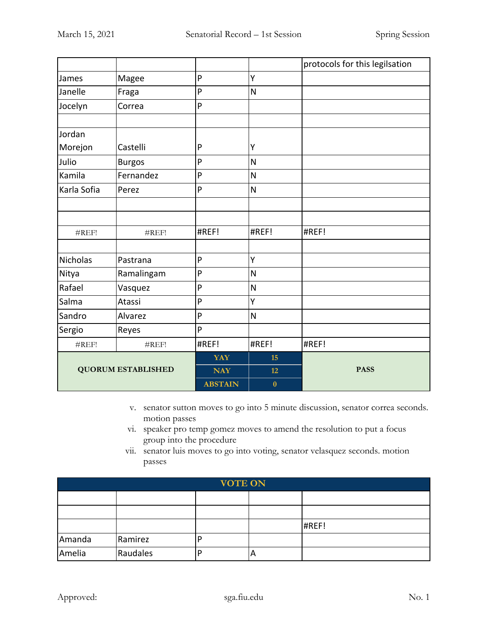|                           |               |                |                         | protocols for this legilsation |
|---------------------------|---------------|----------------|-------------------------|--------------------------------|
| James                     | Magee         | P              | Υ                       |                                |
| Janelle                   | Fraga         | P              | N                       |                                |
| Jocelyn                   | Correa        | P              |                         |                                |
|                           |               |                |                         |                                |
| Jordan                    |               |                |                         |                                |
| Morejon                   | Castelli      | P              | Υ                       |                                |
| Julio                     | <b>Burgos</b> | P              | $\overline{\mathsf{N}}$ |                                |
| Kamila                    | Fernandez     | P              | N                       |                                |
| Karla Sofia               | Perez         | P              | $\overline{\mathsf{N}}$ |                                |
|                           |               |                |                         |                                |
|                           |               |                |                         |                                |
| #REF!                     | #REF!         | #REF!          | #REF!                   | #REF!                          |
|                           |               |                |                         |                                |
| <b>Nicholas</b>           | Pastrana      | P              | Y                       |                                |
| Nitya                     | Ramalingam    | P              | $\overline{\mathsf{N}}$ |                                |
| Rafael                    | Vasquez       | P              | $\overline{\mathsf{N}}$ |                                |
| Salma                     | Atassi        | P              | Υ                       |                                |
| Sandro                    | Alvarez       | P              | $\overline{\mathsf{N}}$ |                                |
| Sergio                    | Reyes         | P              |                         |                                |
| #REF!                     | #REF!         | #REF!          | #REF!                   | #REF!                          |
|                           |               | <b>YAY</b>     | 15                      |                                |
| <b>QUORUM ESTABLISHED</b> |               | <b>NAY</b>     | 12                      | <b>PASS</b>                    |
|                           |               | <b>ABSTAIN</b> | $\bf{0}$                |                                |

- v. senator sutton moves to go into 5 minute discussion, senator correa seconds. motion passes
- vi. speaker pro temp gomez moves to amend the resolution to put a focus group into the procedure
- vii. senator luis moves to go into voting, senator velasquez seconds. motion passes

| <b>VOTE ON</b> |          |  |   |       |  |
|----------------|----------|--|---|-------|--|
|                |          |  |   |       |  |
|                |          |  |   |       |  |
|                |          |  |   | #REF! |  |
| Amanda         | Ramirez  |  |   |       |  |
| Amelia         | Raudales |  | A |       |  |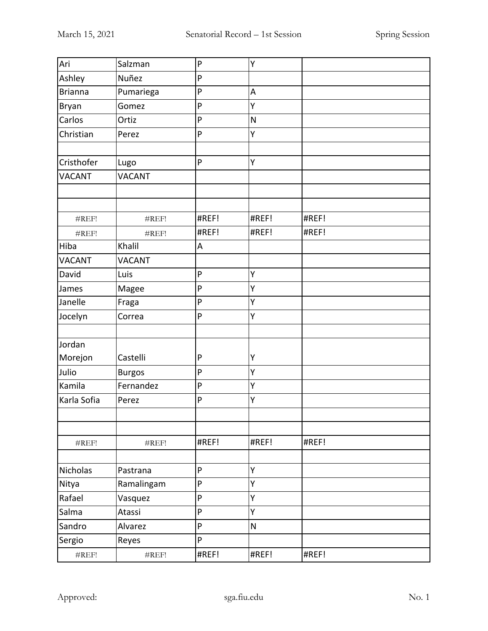| Ari               | Salzman       | P            | Υ                       |       |
|-------------------|---------------|--------------|-------------------------|-------|
| Ashley            | Nuñez         | ${\sf P}$    |                         |       |
| <b>Brianna</b>    | Pumariega     | ${\sf P}$    | A                       |       |
| Bryan             | Gomez         | ${\sf P}$    | Υ                       |       |
| Carlos            | Ortiz         | P            | $\overline{\mathsf{N}}$ |       |
| Christian         | Perez         | $\mathsf{P}$ | Υ                       |       |
|                   |               |              |                         |       |
| Cristhofer        | Lugo          | P            | Υ                       |       |
| <b>VACANT</b>     | <b>VACANT</b> |              |                         |       |
|                   |               |              |                         |       |
|                   |               |              |                         |       |
| #REF!             | #REF!         | #REF!        | #REF!                   | #REF! |
| #REF!             | #REF!         | #REF!        | #REF!                   | #REF! |
| Hiba              | Khalil        | A            |                         |       |
| <b>VACANT</b>     | <b>VACANT</b> |              |                         |       |
| David             | Luis          | $\mathsf{P}$ | Υ                       |       |
| James             | Magee         | $\mathsf{P}$ | Y                       |       |
| Janelle           | Fraga         | ${\sf P}$    | Υ                       |       |
| Jocelyn           | Correa        | $\mathsf{P}$ | Y                       |       |
|                   |               |              |                         |       |
| Jordan            |               |              |                         |       |
| Morejon           | Castelli      | $\mathsf{P}$ | Υ                       |       |
| Julio             | <b>Burgos</b> | $\mathsf{P}$ | Υ                       |       |
| Kamila            | Fernandez     | ${\sf P}$    | Υ                       |       |
| Karla Sofia       | Perez         | $\mathsf{P}$ | Y                       |       |
|                   |               |              |                         |       |
| #REF!             | #REF!         | #REF!        | #REF!                   | #REF! |
|                   |               |              |                         |       |
| Nicholas          | Pastrana      | P            | Υ                       |       |
| Nitya             | Ramalingam    | ${\sf P}$    | Υ                       |       |
| Rafael            | Vasquez       | ${\sf P}$    | Y                       |       |
| Salma             | Atassi        | P            | Υ                       |       |
| Sandro            | Alvarez       | P            | ${\sf N}$               |       |
| Sergio            | Reyes         | P            |                         |       |
| $\#\mathrm{REF}!$ | #REF!         | #REF!        | #REF!                   | #REF! |